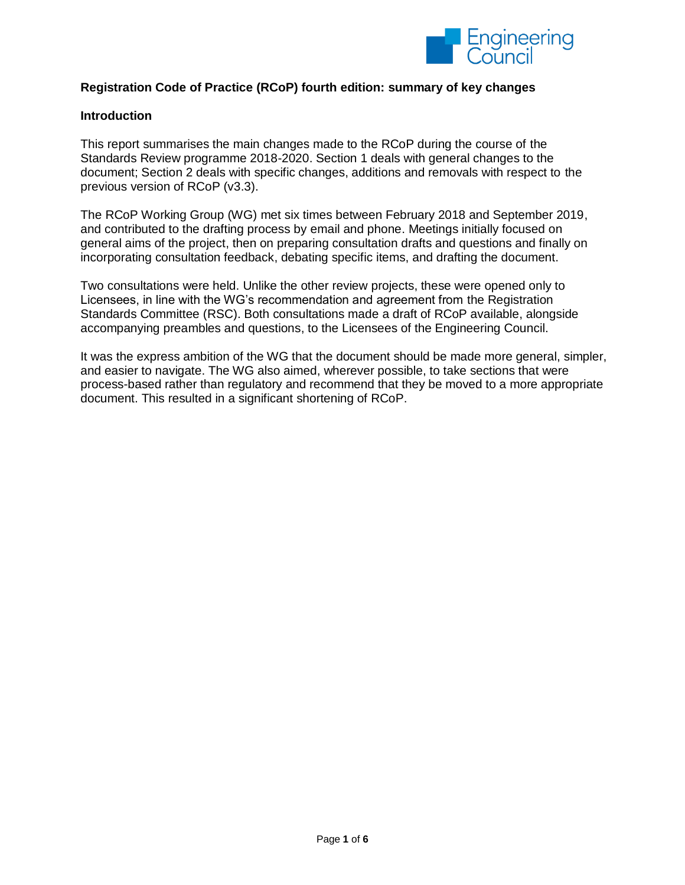

# **Registration Code of Practice (RCoP) fourth edition: summary of key changes**

#### **Introduction**

This report summarises the main changes made to the RCoP during the course of the Standards Review programme 2018-2020. Section 1 deals with general changes to the document; Section 2 deals with specific changes, additions and removals with respect to the previous version of RCoP (v3.3).

The RCoP Working Group (WG) met six times between February 2018 and September 2019, and contributed to the drafting process by email and phone. Meetings initially focused on general aims of the project, then on preparing consultation drafts and questions and finally on incorporating consultation feedback, debating specific items, and drafting the document.

Two consultations were held. Unlike the other review projects, these were opened only to Licensees, in line with the WG's recommendation and agreement from the Registration Standards Committee (RSC). Both consultations made a draft of RCoP available, alongside accompanying preambles and questions, to the Licensees of the Engineering Council.

It was the express ambition of the WG that the document should be made more general, simpler, and easier to navigate. The WG also aimed, wherever possible, to take sections that were process-based rather than regulatory and recommend that they be moved to a more appropriate document. This resulted in a significant shortening of RCoP.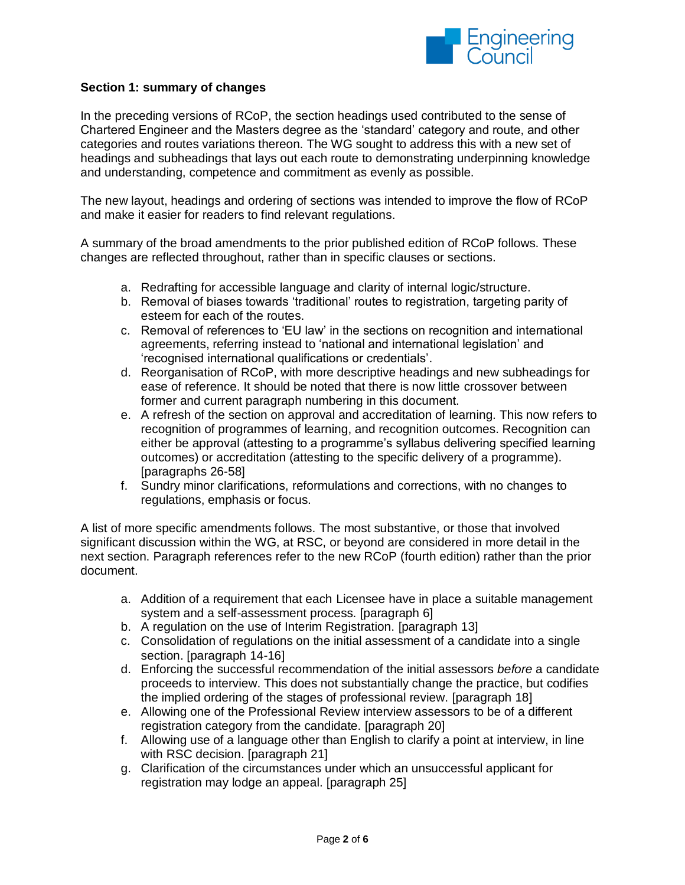

## **Section 1: summary of changes**

In the preceding versions of RCoP, the section headings used contributed to the sense of Chartered Engineer and the Masters degree as the 'standard' category and route, and other categories and routes variations thereon. The WG sought to address this with a new set of headings and subheadings that lays out each route to demonstrating underpinning knowledge and understanding, competence and commitment as evenly as possible.

The new layout, headings and ordering of sections was intended to improve the flow of RCoP and make it easier for readers to find relevant regulations.

A summary of the broad amendments to the prior published edition of RCoP follows. These changes are reflected throughout, rather than in specific clauses or sections.

- a. Redrafting for accessible language and clarity of internal logic/structure.
- b. Removal of biases towards 'traditional' routes to registration, targeting parity of esteem for each of the routes.
- c. Removal of references to 'EU law' in the sections on recognition and international agreements, referring instead to 'national and international legislation' and 'recognised international qualifications or credentials'.
- d. Reorganisation of RCoP, with more descriptive headings and new subheadings for ease of reference. It should be noted that there is now little crossover between former and current paragraph numbering in this document.
- e. A refresh of the section on approval and accreditation of learning. This now refers to recognition of programmes of learning, and recognition outcomes. Recognition can either be approval (attesting to a programme's syllabus delivering specified learning outcomes) or accreditation (attesting to the specific delivery of a programme). [paragraphs 26-58]
- f. Sundry minor clarifications, reformulations and corrections, with no changes to regulations, emphasis or focus.

A list of more specific amendments follows. The most substantive, or those that involved significant discussion within the WG, at RSC, or beyond are considered in more detail in the next section. Paragraph references refer to the new RCoP (fourth edition) rather than the prior document.

- a. Addition of a requirement that each Licensee have in place a suitable management system and a self-assessment process. [paragraph 6]
- b. A regulation on the use of Interim Registration. [paragraph 13]
- c. Consolidation of regulations on the initial assessment of a candidate into a single section. [paragraph 14-16]
- d. Enforcing the successful recommendation of the initial assessors *before* a candidate proceeds to interview. This does not substantially change the practice, but codifies the implied ordering of the stages of professional review. [paragraph 18]
- e. Allowing one of the Professional Review interview assessors to be of a different registration category from the candidate. [paragraph 20]
- f. Allowing use of a language other than English to clarify a point at interview, in line with RSC decision. [paragraph 21]
- g. Clarification of the circumstances under which an unsuccessful applicant for registration may lodge an appeal. [paragraph 25]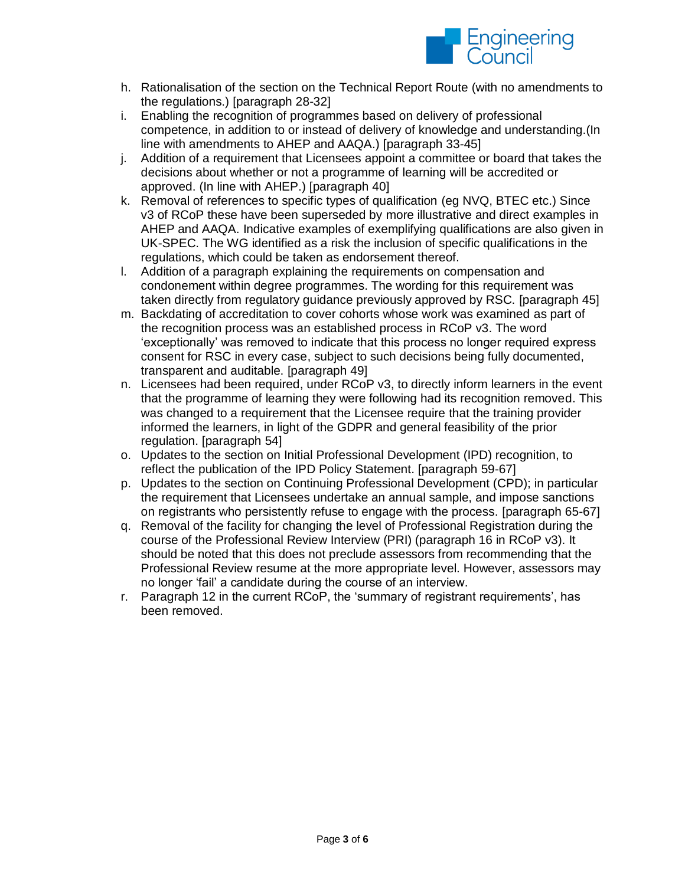

- h. Rationalisation of the section on the Technical Report Route (with no amendments to the regulations.) [paragraph 28-32]
- i. Enabling the recognition of programmes based on delivery of professional competence, in addition to or instead of delivery of knowledge and understanding.(In line with amendments to AHEP and AAQA.) [paragraph 33-45]
- j. Addition of a requirement that Licensees appoint a committee or board that takes the decisions about whether or not a programme of learning will be accredited or approved. (In line with AHEP.) [paragraph 40]
- k. Removal of references to specific types of qualification (eg NVQ, BTEC etc.) Since v3 of RCoP these have been superseded by more illustrative and direct examples in AHEP and AAQA. Indicative examples of exemplifying qualifications are also given in UK-SPEC. The WG identified as a risk the inclusion of specific qualifications in the regulations, which could be taken as endorsement thereof.
- l. Addition of a paragraph explaining the requirements on compensation and condonement within degree programmes. The wording for this requirement was taken directly from regulatory guidance previously approved by RSC. [paragraph 45]
- m. Backdating of accreditation to cover cohorts whose work was examined as part of the recognition process was an established process in RCoP v3. The word 'exceptionally' was removed to indicate that this process no longer required express consent for RSC in every case, subject to such decisions being fully documented, transparent and auditable. [paragraph 49]
- n. Licensees had been required, under RCoP v3, to directly inform learners in the event that the programme of learning they were following had its recognition removed. This was changed to a requirement that the Licensee require that the training provider informed the learners, in light of the GDPR and general feasibility of the prior regulation. [paragraph 54]
- o. Updates to the section on Initial Professional Development (IPD) recognition, to reflect the publication of the IPD Policy Statement. [paragraph 59-67]
- p. Updates to the section on Continuing Professional Development (CPD); in particular the requirement that Licensees undertake an annual sample, and impose sanctions on registrants who persistently refuse to engage with the process. [paragraph 65-67]
- q. Removal of the facility for changing the level of Professional Registration during the course of the Professional Review Interview (PRI) (paragraph 16 in RCoP v3). It should be noted that this does not preclude assessors from recommending that the Professional Review resume at the more appropriate level. However, assessors may no longer 'fail' a candidate during the course of an interview.
- r. Paragraph 12 in the current RCoP, the 'summary of registrant requirements', has been removed.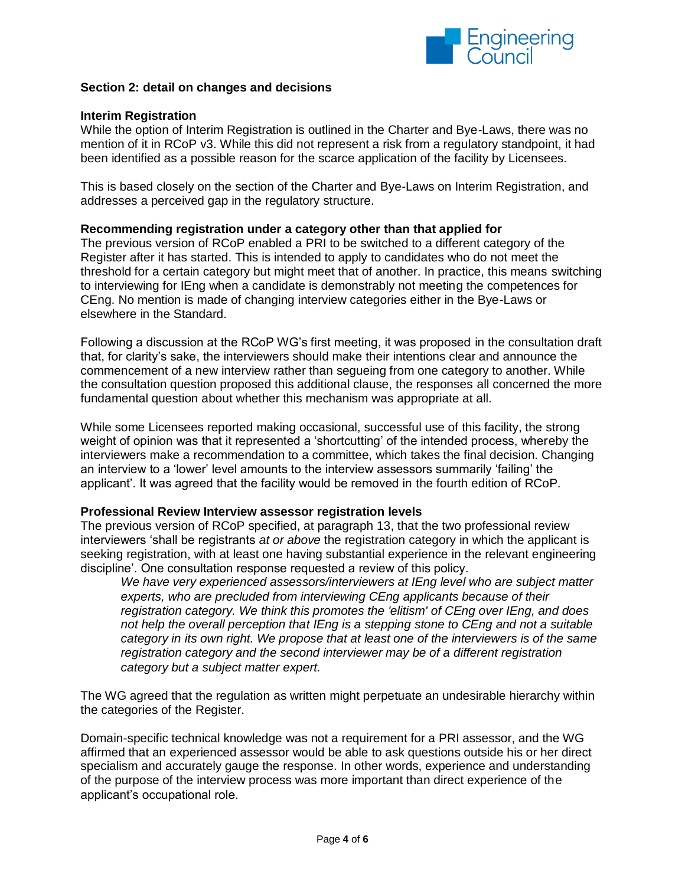

## **Section 2: detail on changes and decisions**

## **Interim Registration**

While the option of Interim Registration is outlined in the Charter and Bye-Laws, there was no mention of it in RCoP v3. While this did not represent a risk from a regulatory standpoint, it had been identified as a possible reason for the scarce application of the facility by Licensees.

This is based closely on the section of the Charter and Bye-Laws on Interim Registration, and addresses a perceived gap in the regulatory structure.

### **Recommending registration under a category other than that applied for**

The previous version of RCoP enabled a PRI to be switched to a different category of the Register after it has started. This is intended to apply to candidates who do not meet the threshold for a certain category but might meet that of another. In practice, this means switching to interviewing for IEng when a candidate is demonstrably not meeting the competences for CEng. No mention is made of changing interview categories either in the Bye-Laws or elsewhere in the Standard.

Following a discussion at the RCoP WG's first meeting, it was proposed in the consultation draft that, for clarity's sake, the interviewers should make their intentions clear and announce the commencement of a new interview rather than segueing from one category to another. While the consultation question proposed this additional clause, the responses all concerned the more fundamental question about whether this mechanism was appropriate at all.

While some Licensees reported making occasional, successful use of this facility, the strong weight of opinion was that it represented a 'shortcutting' of the intended process, whereby the interviewers make a recommendation to a committee, which takes the final decision. Changing an interview to a 'lower' level amounts to the interview assessors summarily 'failing' the applicant'. It was agreed that the facility would be removed in the fourth edition of RCoP.

### **Professional Review Interview assessor registration levels**

The previous version of RCoP specified, at paragraph 13, that the two professional review interviewers 'shall be registrants *at or above* the registration category in which the applicant is seeking registration, with at least one having substantial experience in the relevant engineering discipline'. One consultation response requested a review of this policy.

*We have very experienced assessors/interviewers at IEng level who are subject matter experts, who are precluded from interviewing CEng applicants because of their registration category. We think this promotes the 'elitism' of CEng over IEng, and does not help the overall perception that IEng is a stepping stone to CEng and not a suitable category in its own right. We propose that at least one of the interviewers is of the same registration category and the second interviewer may be of a different registration category but a subject matter expert.*

The WG agreed that the regulation as written might perpetuate an undesirable hierarchy within the categories of the Register.

Domain-specific technical knowledge was not a requirement for a PRI assessor, and the WG affirmed that an experienced assessor would be able to ask questions outside his or her direct specialism and accurately gauge the response. In other words, experience and understanding of the purpose of the interview process was more important than direct experience of the applicant's occupational role.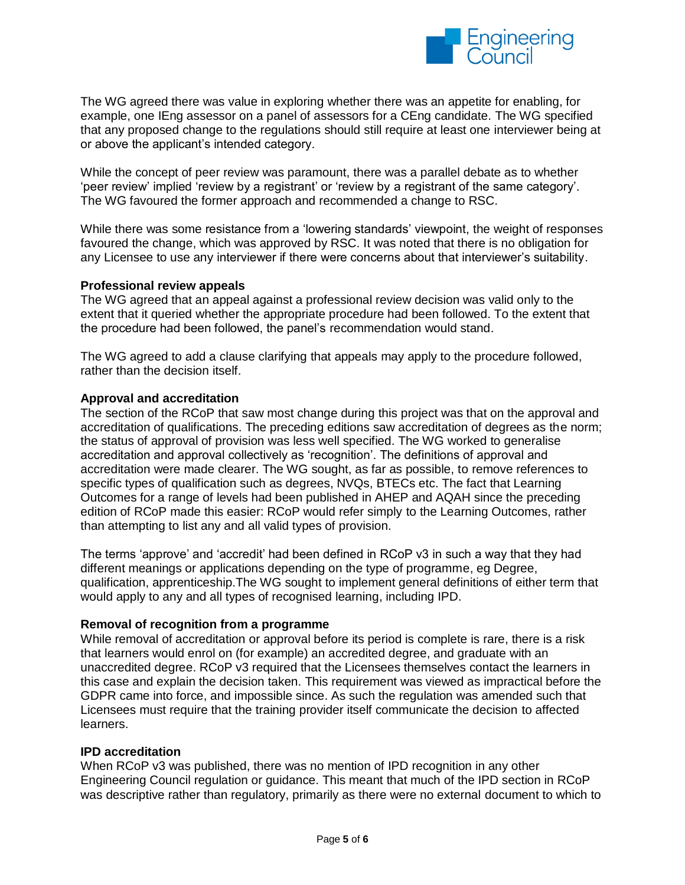

The WG agreed there was value in exploring whether there was an appetite for enabling, for example, one IEng assessor on a panel of assessors for a CEng candidate. The WG specified that any proposed change to the regulations should still require at least one interviewer being at or above the applicant's intended category.

While the concept of peer review was paramount, there was a parallel debate as to whether 'peer review' implied 'review by a registrant' or 'review by a registrant of the same category'. The WG favoured the former approach and recommended a change to RSC.

While there was some resistance from a 'lowering standards' viewpoint, the weight of responses favoured the change, which was approved by RSC. It was noted that there is no obligation for any Licensee to use any interviewer if there were concerns about that interviewer's suitability.

### **Professional review appeals**

The WG agreed that an appeal against a professional review decision was valid only to the extent that it queried whether the appropriate procedure had been followed. To the extent that the procedure had been followed, the panel's recommendation would stand.

The WG agreed to add a clause clarifying that appeals may apply to the procedure followed, rather than the decision itself.

#### **Approval and accreditation**

The section of the RCoP that saw most change during this project was that on the approval and accreditation of qualifications. The preceding editions saw accreditation of degrees as the norm; the status of approval of provision was less well specified. The WG worked to generalise accreditation and approval collectively as 'recognition'. The definitions of approval and accreditation were made clearer. The WG sought, as far as possible, to remove references to specific types of qualification such as degrees, NVQs, BTECs etc. The fact that Learning Outcomes for a range of levels had been published in AHEP and AQAH since the preceding edition of RCoP made this easier: RCoP would refer simply to the Learning Outcomes, rather than attempting to list any and all valid types of provision.

The terms 'approve' and 'accredit' had been defined in RCoP v3 in such a way that they had different meanings or applications depending on the type of programme, eg Degree, qualification, apprenticeship.The WG sought to implement general definitions of either term that would apply to any and all types of recognised learning, including IPD.

#### **Removal of recognition from a programme**

While removal of accreditation or approval before its period is complete is rare, there is a risk that learners would enrol on (for example) an accredited degree, and graduate with an unaccredited degree. RCoP v3 required that the Licensees themselves contact the learners in this case and explain the decision taken. This requirement was viewed as impractical before the GDPR came into force, and impossible since. As such the regulation was amended such that Licensees must require that the training provider itself communicate the decision to affected learners.

#### **IPD accreditation**

When RCoP v3 was published, there was no mention of IPD recognition in any other Engineering Council regulation or guidance. This meant that much of the IPD section in RCoP was descriptive rather than regulatory, primarily as there were no external document to which to